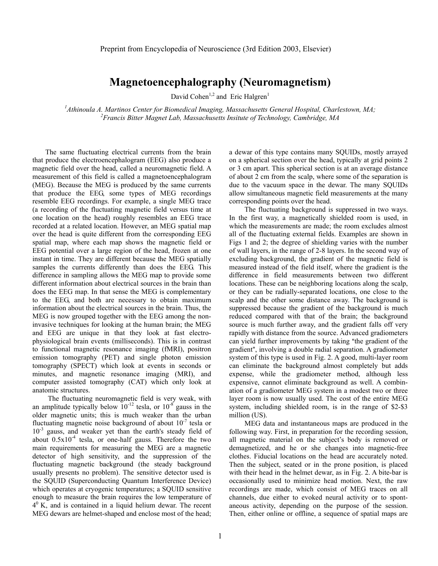# **Magnetoencephalography (Neuromagnetism)**

David Cohen<sup>1,2</sup> and Eric Halgren<sup>1</sup>

<sup>1</sup> *Athinoula A. Martinos Center for Biomedical Imaging, Massachusetts General Hospital, Charlestown, MA;* <sup>2</sup> *<sup>2</sup> Exangis Bitter Magnet Lab. Maggaghy atts Insitute of Technology Cambridge MA Francis Bitter Magnet Lab, Massachusetts Insitute of Technology, Cambridge, MA* 

The same fluctuating electrical currents from the brain that produce the electroencephalogram (EEG) also produce a magnetic field over the head, called a neuromagnetic field. A measurement of this field is called a magnetoencephalogram (MEG). Because the MEG is produced by the same currents that produce the EEG, some types of MEG recordings resemble EEG recordings. For example, a single MEG trace (a recording of the fluctuating magnetic field versus time at one location on the head) roughly resembles an EEG trace recorded at a related location. However, an MEG spatial map over the head is quite different from the corresponding EEG spatial map, where each map shows the magnetic field or EEG potential over a large region of the head, frozen at one instant in time. They are different because the MEG spatially samples the currents differently than does the EEG. This difference in sampling allows the MEG map to provide some different information about electrical sources in the brain than does the EEG map. In that sense the MEG is complementary to the EEG, and both are necessary to obtain maximum information about the electrical sources in the brain. Thus, the MEG is now grouped together with the EEG among the noninvasive techniques for looking at the human brain; the MEG and EEG are unique in that they look at fast electrophysiological brain events (milliseconds). This is in contrast to functional magnetic resonance imaging (fMRI), positron emission tomography (PET) and single photon emission tomography (SPECT) which look at events in seconds or minutes, and magnetic resonance imaging (MRI), and computer assisted tomography (CAT) which only look at anatomic structures.

The fluctuating neuromagnetic field is very weak, with an amplitude typically below  $10^{-12}$  tesla, or  $10^{-8}$  gauss in the older magnetic units; this is much weaker than the urban fluctuating magnetic noise background of about  $10^{-7}$  tesla or  $10^{-3}$  gauss, and weaker yet than the earth's steady field of about  $0.5x10^{-4}$  tesla, or one-half gauss. Therefore the two main requirements for measuring the MEG are a magnetic detector of high sensitivity, and the suppression of the fluctuating magnetic background (the steady background usually presents no problem). The sensitive detector used is the SQUID (Superconducting Quantum Interference Device) which operates at cryogenic temperatures; a SQUID sensitive enough to measure the brain requires the low temperature of  $4<sup>0</sup>$  K, and is contained in a liquid helium dewar. The recent MEG dewars are helmet-shaped and enclose most of the head;

a dewar of this type contains many SQUIDs, mostly arrayed on a spherical section over the head, typically at grid points 2 or 3 cm apart. This spherical section is at an average distance of about 2 cm from the scalp, where some of the separation is due to the vacuum space in the dewar. The many SQUIDs allow simultaneous magnetic field measurements at the many corresponding points over the head.

The fluctuating background is suppressed in two ways. In the first way, a magnetically shielded room is used, in which the measurements are made; the room excludes almost all of the fluctuating external fields. Examples are shown in Figs 1 and 2; the degree of shielding varies with the number of wall layers, in the range of 2-8 layers. In the second way of excluding background, the gradient of the magnetic field is measured instead of the field itself, where the gradient is the difference in field measurements between two different locations. These can be neighboring locations along the scalp, or they can be radially-separated locations, one close to the scalp and the other some distance away. The background is suppressed because the gradient of the background is much reduced compared with that of the brain; the background source is much further away, and the gradient falls off very rapidly with distance from the source. Advanced gradiometers can yield further improvements by taking "the gradient of the gradient", involving a double radial separation. A gradiometer system of this type is used in Fig. 2. A good, multi-layer room can eliminate the background almost completely but adds expense, while the gradiometer method, although less expensive, cannot eliminate background as well. A combination of a gradiometer MEG system in a modest two or three layer room is now usually used. The cost of the entire MEG system, including shielded room, is in the range of \$2-\$3 million (US).

MEG data and instantaneous maps are produced in the following way. First, in preparation for the recording session, all magnetic material on the subject's body is removed or demagnetized, and he or she changes into magnetic-free clothes. Fiducial locations on the head are accurately noted. Then the subject, seated or in the prone position, is placed with their head in the helmet dewar, as in Fig. 2. A bite-bar is occasionally used to minimize head motion. Next, the raw recordings are made, which consist of MEG traces on all channels, due either to evoked neural activity or to spontaneous activity, depending on the purpose of the session. Then, either online or offline, a sequence of spatial maps are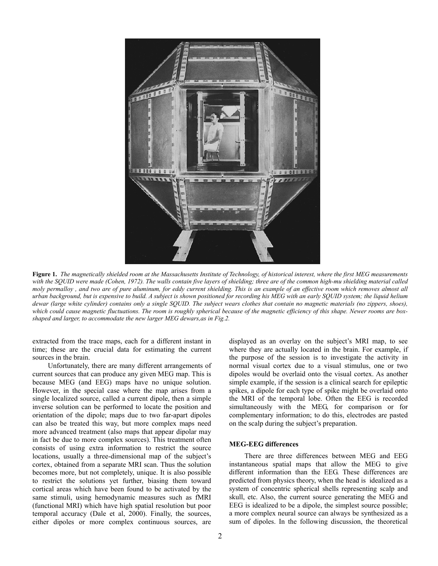

**Figure 1.** *The magnetically shielded room at the Massachusetts Institute of Technology, of historical interest, where the first MEG measurements* with the SOUID were made (Cohen, 1972). The walls contain five layers of shielding; three are of the common high-mu shielding material called *moly permalloy , and two are of pure aluminum, for eddy current shielding. This is an example of an effective room which removes almost all urban background, but is expensive to build. A subject is shown positioned for recording his MEG with an early SQUID system; the liquid helium dewar (large white cylinder) contains only a single SQUID. The subject wears clothes that contain no magnetic materials (no zippers, shoes), which could cause magnetic fluctuations. The room is roughly spherical because of the magnetic efficiency of this shape. Newer rooms are boxshaped and larger, to accommodate the new larger MEG dewars,as in Fig.2.*

extracted from the trace maps, each for a different instant in time; these are the crucial data for estimating the current sources in the brain.

Unfortunately, there are many different arrangements of current sources that can produce any given MEG map. This is because MEG (and EEG) maps have no unique solution. However, in the special case where the map arises from a single localized source, called a current dipole, then a simple inverse solution can be performed to locate the position and orientation of the dipole; maps due to two far-apart dipoles can also be treated this way, but more complex maps need more advanced treatment (also maps that appear dipolar may in fact be due to more complex sources). This treatment often consists of using extra information to restrict the source locations, usually a three-dimensional map of the subject's cortex, obtained from a separate MRI scan. Thus the solution becomes more, but not completely, unique. It is also possible to restrict the solutions yet further, biasing them toward cortical areas which have been found to be activated by the same stimuli, using hemodynamic measures such as fMRI (functional MRI) which have high spatial resolution but poor temporal accuracy (Dale et al, 2000). Finally, the sources, either dipoles or more complex continuous sources, are

displayed as an overlay on the subject's MRI map, to see where they are actually located in the brain. For example, if the purpose of the session is to investigate the activity in normal visual cortex due to a visual stimulus, one or two dipoles would be overlaid onto the visual cortex. As another simple example, if the session is a clinical search for epileptic spikes, a dipole for each type of spike might be overlaid onto the MRI of the temporal lobe. Often the EEG is recorded simultaneously with the MEG, for comparison or for complementary information; to do this, electrodes are pasted on the scalp during the subject's preparation.

#### **MEG-EEG differences**

There are three differences between MEG and EEG instantaneous spatial maps that allow the MEG to give different information than the EEG. These differences are predicted from physics theory, when the head is idealized as a system of concentric spherical shells representing scalp and skull, etc. Also, the current source generating the MEG and EEG is idealized to be a dipole, the simplest source possible; a more complex neural source can always be synthesized as a sum of dipoles. In the following discussion, the theoretical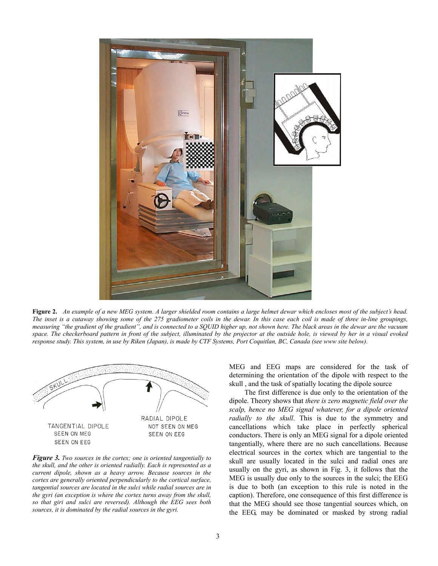

**Figure 2.** *An example of a new MEG system. A larger shielded room contains a large helmet dewar which encloses most of the subject's head. The inset is a cutaway showing some of the 275 gradiometer coils in the dewar. In this case each coil is made of three in-line groupings, measuring "the gradient of the gradient", and is connected to a SQUID higher up, not shown here. The black areas in the dewar are the vacuum space. The checkerboard pattern in front of the subject, illuminated by the projector at the outside hole, is viewed by her in a visual evoked response study. This system, in use by Riken (Japan), is made by CTF Systems, Port Coquitlan, BC, Canada (see www site below).* 



*Figure 3. Two sources in the cortex; one is oriented tangentially to the skull, and the other is oriented radially. Each is represented as a current dipole, shown as a heavy arrow. Because sources in the cortex are generally oriented perpendicularly to the cortical surface, tangential sources are located in the sulci while radial sources are in the gyri (an exception is where the cortex turns away from the skull, so that giri and sulci are reversed). Although the EEG sees both sources, it is dominated by the radial sources in the gyri.* 

MEG and EEG maps are considered for the task of determining the orientation of the dipole with respect to the skull , and the task of spatially locating the dipole source

The first difference is due only to the orientation of the dipole. Theory shows that *there is zero magnetic field over the scalp, hence no MEG signal whatever, for a dipole oriented radially to the skull*. This is due to the symmetry and cancellations which take place in perfectly spherical conductors. There is only an MEG signal for a dipole oriented tangentially, where there are no such cancellations. Because electrical sources in the cortex which are tangential to the skull are usually located in the sulci and radial ones are usually on the gyri, as shown in Fig. 3, it follows that the MEG is usually due only to the sources in the sulci; the EEG is due to both (an exception to this rule is noted in the caption). Therefore, one consequence of this first difference is that the MEG should see those tangential sources which, on the EEG, may be dominated or masked by strong radial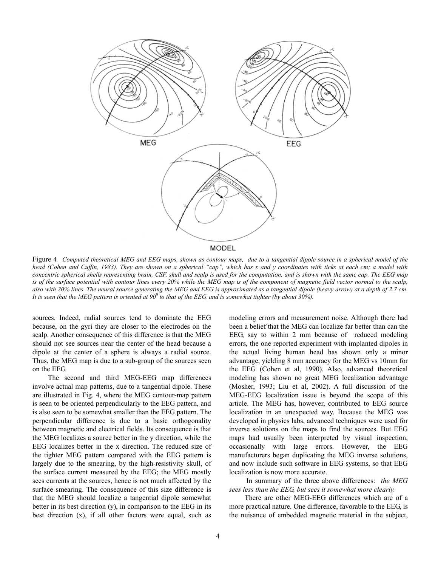

Figure 4*. Computed theoretical MEG and EEG maps, shown as contour maps, due to a tangential dipole source in a spherical model of the head (Cohen and Cuffin, 1983). They are shown on a spherical "cap", which has x and y coordinates with ticks at each cm; a model with* concentric spherical shells representing brain, CSF, skull and scalp is used for the computation, and is shown with the same cap. The EEG map *is of the surface potential with contour lines every 20% while the MEG map is of the component of magnetic field vector normal to the scalp, also with 20% lines. The neural source generating the MEG and EEG is approximated as a tangential dipole (heavy arrow) at a depth of 2.7 cm.* It is seen that the MEG pattern is oriented at 90<sup>0</sup> to that of the EEG, and is somewhat tighter (by about 30%).

sources. Indeed, radial sources tend to dominate the EEG because, on the gyri they are closer to the electrodes on the scalp. Another consequence of this difference is that the MEG should not see sources near the center of the head because a dipole at the center of a sphere is always a radial source. Thus, the MEG map is due to a sub-group of the sources seen on the EEG.

The second and third MEG-EEG map differences involve actual map patterns, due to a tangential dipole. These are illustrated in Fig. 4, where the MEG contour-map pattern is seen to be oriented perpendicularly to the EEG pattern, and is also seen to be somewhat smaller than the EEG pattern. The perpendicular difference is due to a basic orthogonality between magnetic and electrical fields. Its consequence is that the MEG localizes a source better in the y direction, while the EEG localizes better in the x direction. The reduced size of the tighter MEG pattern compared with the EEG pattern is largely due to the smearing, by the high-resistivity skull, of the surface current measured by the EEG; the MEG mostly sees currents at the sources, hence is not much affected by the surface smearing. The consequence of this size difference is that the MEG should localize a tangential dipole somewhat better in its best direction (y), in comparison to the EEG in its best direction (x), if all other factors were equal, such as

modeling errors and measurement noise. Although there had been a belief that the MEG can localize far better than can the EEG, say to within 2 mm because of reduced modeling errors, the one reported experiment with implanted dipoles in the actual living human head has shown only a minor advantage, yielding 8 mm accuracy for the MEG vs 10mm for the EEG (Cohen et al, 1990). Also, advanced theoretical modeling has shown no great MEG localization advantage (Mosher, 1993; Liu et al, 2002). A full discussion of the MEG-EEG localization issue is beyond the scope of this article. The MEG has, however, contributed to EEG source localization in an unexpected way. Because the MEG was developed in physics labs, advanced techniques were used for inverse solutions on the maps to find the sources. But EEG maps had usually been interpreted by visual inspection, occasionally with large errors. However, the EEG manufacturers began duplicating the MEG inverse solutions, and now include such software in EEG systems, so that EEG localization is now more accurate.

In summary of the three above differences: *the MEG sees less than the EEG, but sees it somewhat more clearly.*

There are other MEG-EEG differences which are of a more practical nature. One difference, favorable to the EEG, is the nuisance of embedded magnetic material in the subject,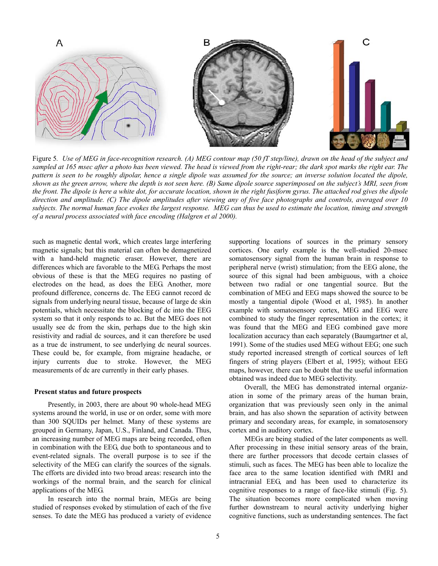

Figure 5*. Use of MEG in face-recognition research. (A) MEG contour map (50 fT step/line), drawn on the head of the subject and sampled at 165 msec after a photo has been viewed. The head is viewed from the right-rear; the dark spot marks the right ear. The pattern is seen to be roughly dipolar, hence a single dipole was assumed for the source; an inverse solution located the dipole, shown as the green arrow, where the depth is not seen here. (B) Same dipole source superimposed on the subject's MRI, seen from the front. The dipole is here a white dot, for accurate location, shown in the right fusiform gyrus. The attached rod gives the dipole direction and amplitude. (C) The dipole amplitudes after viewing any of five face photographs and controls, averaged over 10 subjects. The normal human face evokes the largest response. MEG can thus be used to estimate the location, timing and strength of a neural process associated with face encoding (Halgren et al 2000).* 

such as magnetic dental work, which creates large interfering magnetic signals; but this material can often be demagnetized with a hand-held magnetic eraser. However, there are differences which are favorable to the MEG. Perhaps the most obvious of these is that the MEG requires no pasting of electrodes on the head, as does the EEG. Another, more profound difference, concerns dc. The EEG cannot record dc signals from underlying neural tissue, because of large dc skin potentials, which necessitate the blocking of dc into the EEG system so that it only responds to ac. But the MEG does not usually see dc from the skin, perhaps due to the high skin resistivity and radial dc sources, and it can therefore be used as a true dc instrument, to see underlying dc neural sources. These could be, for example, from migraine headache, or injury currents due to stroke. However, the MEG measurements of dc are currently in their early phases.

#### **Present status and future prospects**

Presently, in 2003, there are about 90 whole-head MEG systems around the world, in use or on order, some with more than 300 SQUIDs per helmet. Many of these systems are grouped in Germany, Japan, U.S., Finland, and Canada. Thus, an increasing number of MEG maps are being recorded, often in combination with the EEG, due both to spontaneous and to event-related signals. The overall purpose is to see if the selectivity of the MEG can clarify the sources of the signals. The efforts are divided into two broad areas: research into the workings of the normal brain, and the search for clinical applications of the MEG.

In research into the normal brain, MEGs are being studied of responses evoked by stimulation of each of the five senses. To date the MEG has produced a variety of evidence supporting locations of sources in the primary sensory cortices. One early example is the well-studied 20-msec somatosensory signal from the human brain in response to peripheral nerve (wrist) stimulation; from the EEG alone, the source of this signal had been ambiguous, with a choice between two radial or one tangential source. But the combination of MEG and EEG maps showed the source to be mostly a tangential dipole (Wood et al, 1985). In another example with somatosensory cortex, MEG and EEG were combined to study the finger representation in the cortex; it was found that the MEG and EEG combined gave more localization accuracy than each separately (Baumgartner et al, 1991). Some of the studies used MEG without EEG; one such study reported increased strength of cortical sources of left fingers of string players (Elbert et al, 1995); without EEG maps, however, there can be doubt that the useful information obtained was indeed due to MEG selectivity.

Overall, the MEG has demonstrated internal organization in some of the primary areas of the human brain, organization that was previously seen only in the animal brain, and has also shown the separation of activity between primary and secondary areas, for example, in somatosensory cortex and in auditory cortex.

MEGs are being studied of the later components as well. After processing in these initial sensory areas of the brain, there are further processors that decode certain classes of stimuli, such as faces. The MEG has been able to localize the face area to the same location identified with fMRI and intracranial EEG, and has been used to characterize its cognitive responses to a range of face-like stimuli (Fig. 5). The situation becomes more complicated when moving further downstream to neural activity underlying higher cognitive functions, such as understanding sentences. The fact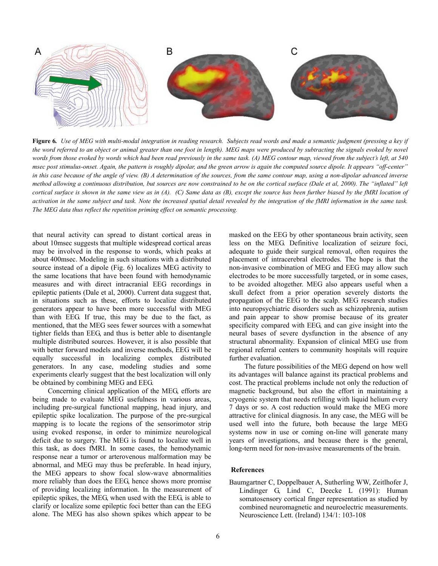

**Figure 6***. Use of MEG with multi-modal integration in reading research. Subjects read words and made a semantic judgment (pressing a key if* the word referred to an object or animal greater than one foot in length). MEG maps were produced by subtracting the signals evoked by novel *words from those evoked by words which had been read previously in the same task. (A) MEG contour map, viewed from the subject's left, at 540 msec post stimulus-onset. Again, the pattern is roughly dipolar, and the green arrow is again the computed source dipole. It appears "off-center" in this case because of the angle of view. (B) A determination of the sources, from the same contour map, using a non-dipolar advanced inverse method allowing a continuous distribution, but sources are now constrained to be on the cortical surface (Dale et al, 2000). The "inflated" left cortical surface is shown in the same view as in (A). (C) Same data as (B), except the source has been further biased by the fMRI location of activation in the same subject and task. Note the increased spatial detail revealed by the integration of the fMRI information in the same task. The MEG data thus reflect the repetition priming effect on semantic processing.* 

that neural activity can spread to distant cortical areas in about 10msec suggests that multiple widespread cortical areas may be involved in the response to words, which peaks at about 400msec. Modeling in such situations with a distributed source instead of a dipole (Fig. 6) localizes MEG activity to the same locations that have been found with hemodynamic measures and with direct intracranial EEG recordings in epileptic patients (Dale et al, 2000). Current data suggest that, in situations such as these, efforts to localize distributed generators appear to have been more successful with MEG than with EEG. If true, this may be due to the fact, as mentioned, that the MEG sees fewer sources with a somewhat tighter fields than EEG, and thus is better able to disentangle multiple distributed sources. However, it is also possible that with better forward models and inverse methods, EEG will be equally successful in localizing complex distributed generators. In any case, modeling studies and some experiments clearly suggest that the best localization will only be obtained by combining MEG and EEG.

Concerning clinical application of the MEG, efforts are being made to evaluate MEG usefulness in various areas, including pre-surgical functional mapping, head injury, and epileptic spike localization. The purpose of the pre-surgical mapping is to locate the regions of the sensorimotor strip using evoked response, in order to minimize neurological deficit due to surgery. The MEG is found to localize well in this task, as does fMRI. In some cases, the hemodynamic response near a tumor or arterovenous malformation may be abnormal, and MEG may thus be preferable. In head injury, the MEG appears to show focal slow-wave abnormalities more reliably than does the EEG, hence shows more promise of providing localizing information. In the measurement of epileptic spikes, the MEG, when used with the EEG, is able to clarify or localize some epileptic foci better than can the EEG alone. The MEG has also shown spikes which appear to be

masked on the EEG by other spontaneous brain activity, seen less on the MEG. Definitive localization of seizure foci, adequate to guide their surgical removal, often requires the placement of intracerebral electrodes. The hope is that the non-invasive combination of MEG and EEG may allow such electrodes to be more successfully targeted, or in some cases, to be avoided altogether. MEG also appears useful when a skull defect from a prior operation severely distorts the propagation of the EEG to the scalp. MEG research studies into neuropsychiatric disorders such as schizophrenia, autism and pain appear to show promise because of its greater specificity compared with EEG, and can give insight into the neural bases of severe dysfunction in the absence of any structural abnormality. Expansion of clinical MEG use from regional referral centers to community hospitals will require further evaluation.

The future possibilities of the MEG depend on how well its advantages will balance against its practical problems and cost. The practical problems include not only the reduction of magnetic background, but also the effort in maintaining a cryogenic system that needs refilling with liquid helium every 7 days or so. A cost reduction would make the MEG more attractive for clinical diagnosis. In any case, the MEG will be used well into the future, both because the large MEG systems now in use or coming on-line will generate many years of investigations, and because there is the general, long-term need for non-invasive measurements of the brain.

#### **References**

Baumgartner C, Doppelbauer A, Sutherling WW, Zeitlhofer J, Lindinger G, Lind C, Deecke L (1991): Human somatosensory cortical finger representation as studied by combined neuromagnetic and neuroelectric measurements. Neuroscience Lett. (Ireland) 134/1: 103-108